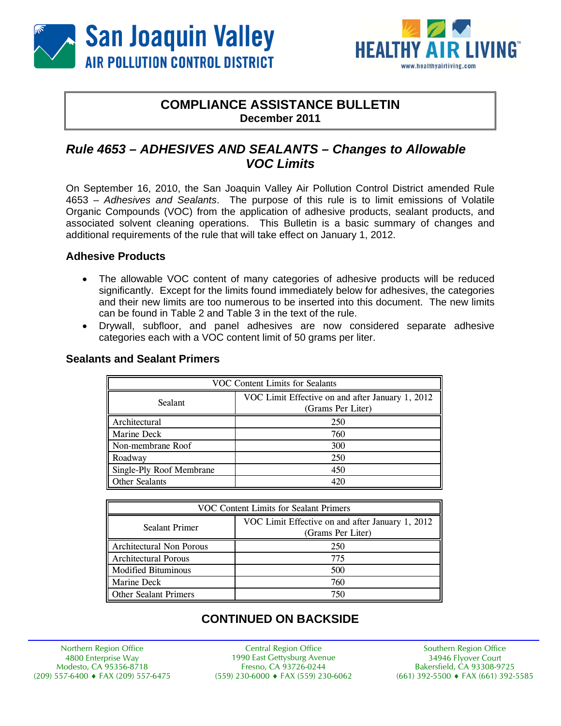



## **COMPLIANCE ASSISTANCE BULLETIN December 2011**

# *Rule 4653 – ADHESIVES AND SEALANTS – Changes to Allowable VOC Limits*

On September 16, 2010, the San Joaquin Valley Air Pollution Control District amended Rule 4653 – *Adhesives and Sealants*. The purpose of this rule is to limit emissions of Volatile Organic Compounds (VOC) from the application of adhesive products, sealant products, and associated solvent cleaning operations. This Bulletin is a basic summary of changes and additional requirements of the rule that will take effect on January 1, 2012.

### **Adhesive Products**

- The allowable VOC content of many categories of adhesive products will be reduced significantly. Except for the limits found immediately below for adhesives, the categories and their new limits are too numerous to be inserted into this document. The new limits can be found in Table 2 and Table 3 in the text of the rule.
- Drywall, subfloor, and panel adhesives are now considered separate adhesive categories each with a VOC content limit of 50 grams per liter.

#### **Sealants and Sealant Primers**

| VOC Content Limits for Sealants |                                                                       |  |
|---------------------------------|-----------------------------------------------------------------------|--|
| Sealant                         | VOC Limit Effective on and after January 1, 2012<br>(Grams Per Liter) |  |
| Architectural                   | 250                                                                   |  |
| Marine Deck                     | 760                                                                   |  |
| Non-membrane Roof               | 300                                                                   |  |
| Roadway                         | 250                                                                   |  |
| Single-Ply Roof Membrane        | 450                                                                   |  |
| Other Sealants                  | 420                                                                   |  |

| VOC Content Limits for Sealant Primers |                                                                       |  |
|----------------------------------------|-----------------------------------------------------------------------|--|
| Sealant Primer                         | VOC Limit Effective on and after January 1, 2012<br>(Grams Per Liter) |  |
| Architectural Non Porous               | 250                                                                   |  |
| <b>Architectural Porous</b>            | 775                                                                   |  |
| <b>Modified Bituminous</b>             | 500                                                                   |  |
| Marine Deck                            | 760                                                                   |  |
| <b>Other Sealant Primers</b>           | 750                                                                   |  |

# **CONTINUED ON BACKSIDE**

Northern Region Office 4800 Enterprise Way Modesto, CA 95356-8718 (209) 557-6400 FAX (209) 557-6475

Central Region Office 1990 East Gettysburg Avenue Fresno, CA 93726-0244 (559) 230-6000 FAX (559) 230-6062

Southern Region Office 34946 Flyover Court Bakersfield, CA 93308-9725 (661) 392-5500 FAX (661) 392-5585